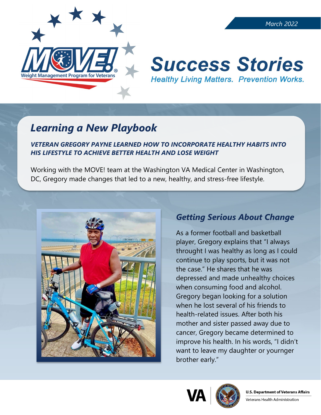

#### *March 2022*

# **Success Stories Healthy Living Matters. Prevention Works.**

## *Learning a New Playbook*

#### *VETERAN GREGORY PAYNE LEARNED HOW TO INCORPORATE HEALTHY HABITS INTO HIS LIFESTYLE TO ACHIEVE BETTER HEALTH AND LOSE WEIGHT*

Working with the MOVE! team at the Washington VA Medical Center in Washington, DC, Gregory made changes that led to a new, healthy, and stress-free lifestyle.



## *Getting Serious About Change*

As a former football and basketball player, Gregory explains that "I always throught I was healthy as long as I could continue to play sports, but it was not the case." He shares that he was depressed and made unhealthy choices when consuming food and alcohol. Gregory began looking for a solution when he lost several of his friends to health-related issues. After both his mother and sister passed away due to cancer, Gregory became determined to improve his health. In his words, "I didn't want to leave my daughter or yournger brother early."





Veterans Health Administration